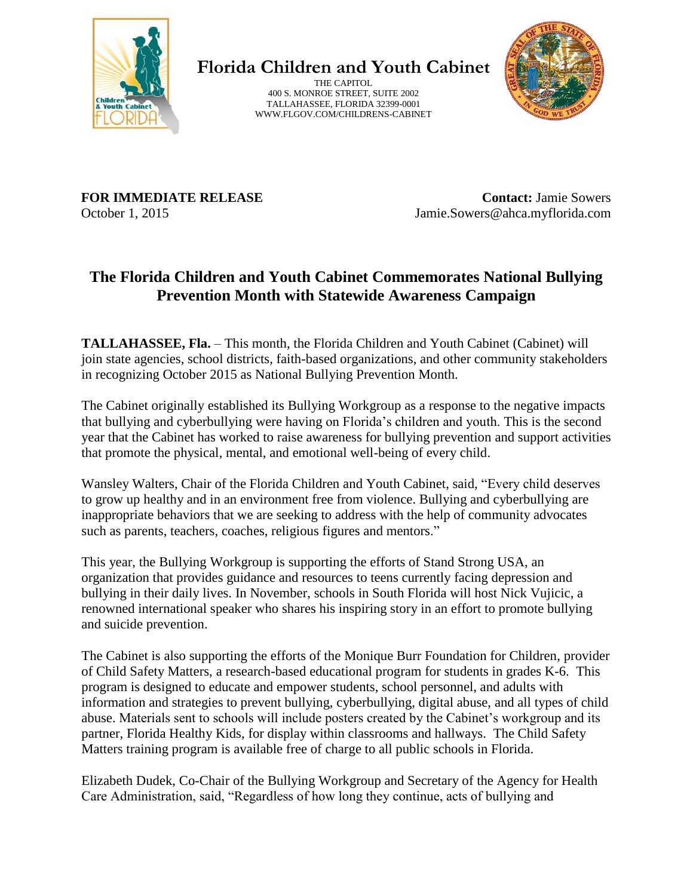

**Florida Children and Youth Cabinet**

THE CAPITOL 400 S. MONROE STREET, SUITE 2002 TALLAHASSEE, FLORIDA 32399-0001 WWW.FLGOV.COM/CHILDRENS-CABINET



**FOR IMMEDIATE RELEASE** October 1, 2015

**Contact:** Jamie Sowers Jamie.Sowers@ahca.myflorida.com

## **The Florida Children and Youth Cabinet Commemorates National Bullying Prevention Month with Statewide Awareness Campaign**

**TALLAHASSEE, Fla.** – This month, the Florida Children and Youth Cabinet (Cabinet) will join state agencies, school districts, faith-based organizations, and other community stakeholders in recognizing October 2015 as National Bullying Prevention Month.

The Cabinet originally established its Bullying Workgroup as a response to the negative impacts that bullying and cyberbullying were having on Florida's children and youth. This is the second year that the Cabinet has worked to raise awareness for bullying prevention and support activities that promote the physical, mental, and emotional well-being of every child.

Wansley Walters, Chair of the Florida Children and Youth Cabinet, said, "Every child deserves to grow up healthy and in an environment free from violence. Bullying and cyberbullying are inappropriate behaviors that we are seeking to address with the help of community advocates such as parents, teachers, coaches, religious figures and mentors."

This year, the Bullying Workgroup is supporting the efforts of Stand Strong USA, an organization that provides guidance and resources to teens currently facing depression and bullying in their daily lives. In November, schools in South Florida will host Nick Vujicic, a renowned international speaker who shares his inspiring story in an effort to promote bullying and suicide prevention.

The Cabinet is also supporting the efforts of the Monique Burr Foundation for Children, provider of Child Safety Matters, a research-based educational program for students in grades K-6. This program is designed to educate and empower students, school personnel, and adults with information and strategies to prevent bullying, cyberbullying, digital abuse, and all types of child abuse. Materials sent to schools will include posters created by the Cabinet's workgroup and its partner, Florida Healthy Kids, for display within classrooms and hallways. The Child Safety Matters training program is available free of charge to all public schools in Florida.

Elizabeth Dudek, Co-Chair of the Bullying Workgroup and Secretary of the Agency for Health Care Administration, said, "Regardless of how long they continue, acts of bullying and